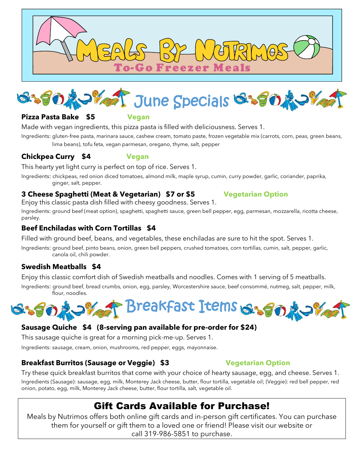



### **Pizza Pasta Bake \$5 Vegan**

Made with vegan ingredients, this pizza pasta is filled with deliciousness. Serves 1.

Ingredients: gluten-free pasta, marinara sauce, cashew cream, tomato paste, frozen vegetable mix (carrots, corn, peas, green beans, lima beans), tofu feta, vegan parmesan, oregano, thyme, salt, pepper

### **Chickpea Curry \$4 Vegan**

This hearty yet light curry is perfect on top of rice. Serves 1.

Ingredients: chickpeas, red onion diced tomatoes, almond milk, maple syrup, cumin, curry powder, garlic, coriander, paprika, ginger, salt, pepper.

### **3 Cheese Spaghetti (Meat & Vegetarian) \$7 or \$5 Vegetarian Option**

Enjoy this classic pasta dish filled with cheesy goodness. Serves 1.

Ingredients: ground beef (meat option), spaghetti, spaghetti sauce, green bell pepper, egg, parmesan, mozzarella, ricotta cheese, parsley.

### **Beef Enchiladas with Corn Tortillas \$4**

Filled with ground beef, beans, and vegetables, these enchiladas are sure to hit the spot. Serves 1.

Ingredients: ground beef, pinto beans, onion, green bell peppers, crushed tomatoes, corn tortillas, cumin, salt, pepper, garlic, canola oil, chili powder.

### **Swedish Meatballs \$4**

Enjoy this classic comfort dish of Swedish meatballs and noodles. Comes with 1 serving of 5 meatballs.

Ingredients: ground beef, bread crumbs, onion, egg, parsley, Worcestershire sauce, beef consommé, nutmeg, salt, pepper, milk, flour, noodles.



## **Sausage Quiche \$4 (8-serving pan available for pre-order for \$24)**

This sausage quiche is great for a morning pick-me-up. Serves 1.

Ingredients: sausage, cream, onion, mushrooms, red pepper, eggs, mayonnaise.

### **Breakfast Burritos (Sausage or Veggie) \$3 Vegetarian Option**

Try these quick breakfast burritos that come with your choice of hearty sausage, egg, and cheese. Serves 1. Ingredients (Sausage): sausage, egg, milk, Monterey Jack cheese, butter, flour tortilla, vegetable oil; (Veggie): red bell pepper, red onion, potato, egg, milk, Monterey Jack cheese, butter, flour tortilla, salt, vegetable oil.

# Gift Cards Available for Purchase!

Meals by Nutrimos offers both online gift cards and in-person gift certificates. You can purchase them for yourself or gift them to a loved one or friend! Please visit our website or call 319-986-5851 to purchase.